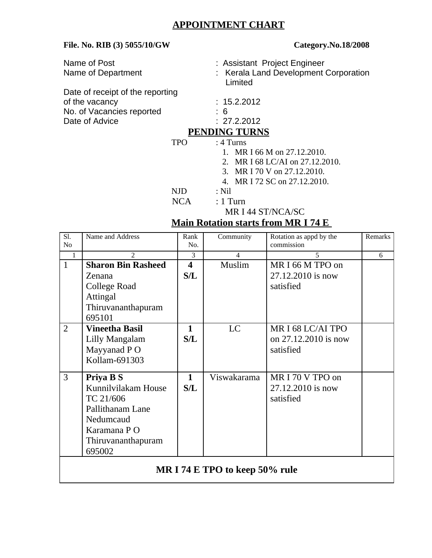# **APPOINTMENT CHART**

### **File. No. RIB (3) 5055/10/GW Category.No.18/2008**

| Name of Post                     | : Assistant Project Engineer                     |
|----------------------------------|--------------------------------------------------|
| Name of Department               | : Kerala Land Development Corporation<br>Limited |
| Date of receipt of the reporting |                                                  |
| of the vacancy                   | : 15.2.2012                                      |
| No. of Vacancies reported        | : 6                                              |
| Date of Advice                   | : 27.2.2012                                      |
|                                  | <b>PENDING TURNS</b>                             |
| TPO                              | $:4$ Turns                                       |

- 1. MR I 66 M on 27.12.2010.
- 2. MR I 68 LC/AI on 27.12.2010.
- 3. MR I 70 V on 27.12.2010.
- 4. MR I 72 SC on 27.12.2010.
- NJD : Nil
- **NCA** : 1 Turn
	- MR I 44 ST/NCA/SC

## **Main Rotation starts from MR I 74 E**

| Sl.<br>No                      | Name and Address                                                                                                               | Rank<br>No.                    | Community      | Rotation as appd by the<br>commission                  | Remarks |
|--------------------------------|--------------------------------------------------------------------------------------------------------------------------------|--------------------------------|----------------|--------------------------------------------------------|---------|
| $\mathbf{1}$                   | $\overline{2}$                                                                                                                 | 3                              | $\overline{4}$ | 5                                                      | 6       |
| $\mathbf{1}$                   | <b>Sharon Bin Rasheed</b><br>Zenana<br>College Road<br><b>Attingal</b><br>Thiruvananthapuram<br>695101                         | $\overline{\mathbf{4}}$<br>S/L | Muslim         | MR I 66 M TPO on<br>27.12.2010 is now<br>satisfied     |         |
| $\overline{2}$                 | <b>Vineetha Basil</b><br>Lilly Mangalam<br>Mayyanad P O<br>Kollam-691303                                                       | $\mathbf{1}$<br>S/L            | LC.            | MR I 68 LC/AI TPO<br>on 27.12.2010 is now<br>satisfied |         |
| 3                              | Priya B S<br>Kunnilvilakam House<br>TC 21/606<br>Pallithanam Lane<br>Nedumcaud<br>Karamana P O<br>Thiruvananthapuram<br>695002 | $\mathbf{1}$<br>S/L            | Viswakarama    | MRI 70 V TPO on<br>27.12.2010 is now<br>satisfied      |         |
| MR I 74 E TPO to keep 50% rule |                                                                                                                                |                                |                |                                                        |         |